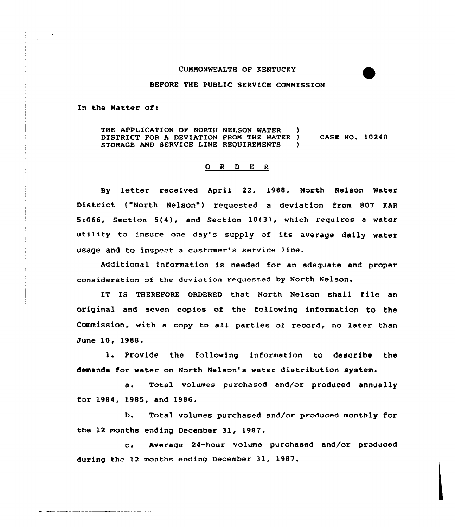## COMMONWEALTH OF KENTUCKY

## BEFORE THE PUBLIC SERVICE COMMISSION

In the Hatter of:

THE APPLICATION OF NORTH NELSON WATER DISTRICT FOR A DEVIATION FROM THE WATER )<br>STORAGE AND SERVICE LINE REQUIREMENTS STORAGE AND SERVICE LINE REQUIREMENTS CASE NO. 10240

## ORDER

By letter received April 22, 1988, North Nelson Water District ("North Nelson") requested a deviation from 807 KAR 5c066, Section 5(4), and Section 10(3), which requires <sup>a</sup> water utility to insure one day's supply of its average daily water usage and to inspect a customer's service line.

Additional information is needed for an adequate and proper consideration of the deviation requested by North Nelson.

IT Is THEREF0RE oRDERED that. North Nelson shall file an original and seven copies of the following information to the Commission, with a copy to all parties of record, no later than June 10, 1988.

1. Provide the following information to describe the demands for water on North Nelson's water distribution system.

a. Total volumes purchased and/or produced annually for 1984, 1985, and 19&6.

b. Total volumes purchased and/or produced monthly for the 12 months ending December 31, 1987.

c. Average 24-hour volume purchased and/or produced during the 12 months ending December 31, 1987.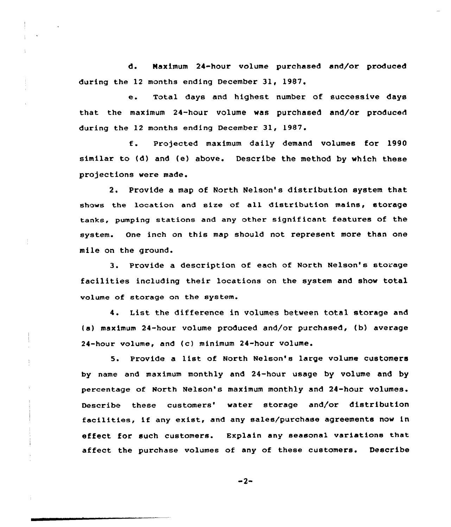d. Maximum 24-hour volume purchased and/or produced during the 12 months ending December 31, 1987.

e. Total days and highest number of successive days that the maximum 24-hour volume was purchased and/or produced during the 12 months ending December 31, 1987.

Projected maximum daily demand volumes for 1990  $f$ . similar to (d) and (e) above. Describe the method by which these projections were made.

2. Provide a map of North Nelson's distribution system that shows the location and size of all distribution mains, storage tanks, pumping stations and any other significant features of the system. One inch on this map should not represent more than one mile on the ground.

3. Provide a description of each of North Nelson's storage facilities including their locations on the system and show total volume of storage on the system.

4. List the difference in volumes between total storage and (a) maximum 24-hour volume produced and/or purchased, (b) average 24-hour volume, and (c) minimum 24-hour volume.

5. Provide a list of North Nelson's large volume customers by name and maximum monthly and 24-hour usage by volume and by percentage of North Nelson's maximum monthly and 24-hour volumes. Describe these customers' water storage and/or distribution facilities, if any exist, and any sales/purchase agreements now in effect for such customers. Explain any seasonal variations that affect the purchase volumes of any of these customers. Describe

 $-2-$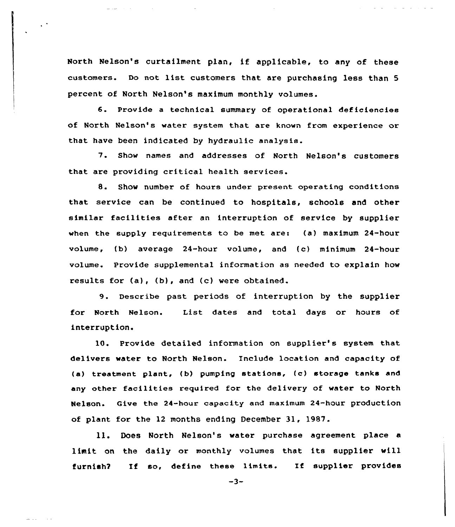North Nelson's curtailment plan, if applicable, to any of these customers. Do not list customers that are purchasing less than <sup>5</sup> percent of North Nelson's maximum monthly volumes.

6. Provide <sup>a</sup> technical summary of operational deficiencies of North Nelson's water system that are known from experience or that have been indicated by hydraulic analysis.

7. Show names and addresses of North Nelson's customers that are providing critical health services.

8. Show number of hours under present operating conditions that service can be continued to hospitals, schools and other similar facilities after an interruption of service by supplier when the supply requirements to be met are: (a) maximum 24-hour volume, (b) average 24-hour volume, and (c) minimum 24-hour volume. Provide supplemental information as needed to explain how results for  $(a)$ ,  $(b)$ , and  $(c)$  were obtained.

9. Describe past periods of interruption by the supplier for North Nelson. List dates and total days or hours of interruption.

10. Provide detailed information on supplier's system that delivers water to North Nelson. Include location and capacity of (a) treatment plant, (b) pumping stations, (c) storage tanks and any other facilities required for the delivery of water to North Nelson. Give the 24-hour capacity and maximum 24-hour production of plant for the 12 months ending December 31, 1987.

ll. Does North Nelson's water purchase agreement place <sup>a</sup> limit on the daily or monthly volumes that its supplier will furnish? If so, define these limits. If supplier provides

 $-3-$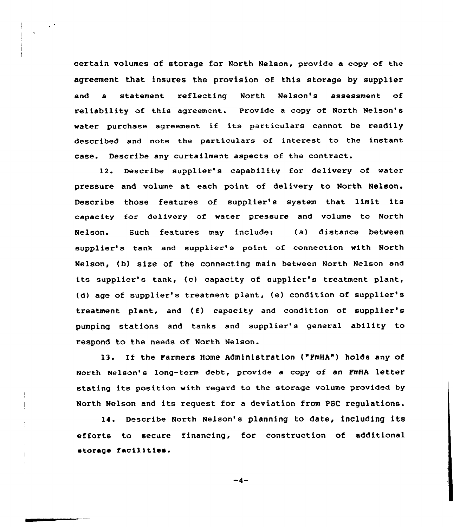certain volumes of storage for North Nelson, provide a copy of the agreement that insures the provision of this storage by supplier and a statement reflecting North Nelson's assessment of reliability of this agreement. Provide a copy of North Nelson's water purchase agreement if its particulars cannot be readily described and note the particulars of interest to the instant case. Describe any curtailment aspects of the contract.

12. Describe supplier's capability for delivery of water pressure and volume at each point of delivery to North Nelson. Describe those features of supplier's system that limit its capacity for delivery of water pressure and volume to North Nelson. Such features may include: (a) distance between supplier's tank and supplier's point of connection with North Nelson, (b) size of the connecting main between North Ne1son and its supplier's tank, (c) capacity of supplier's treatment plant, (d) age of supplier's treatment plant, (e) condition of supplier's treatment plant, and (f) capacity and condition of supplier's pumping stations and tanks and supplier's general ability to respond to the needs of North Nelson.

13. If the Farmers Home Administration ("FmHA") holds any of North Nelson's long-term debt, provide a copy of an FmHA letter stating its position with regard to the storage volume provided by North Nelson and its request for a deviation from PSC regulations.

14. Describe North Nelson's planning to date, including its efforts to secure financing, for construction of additional etoraga facilities.

 $-4-$